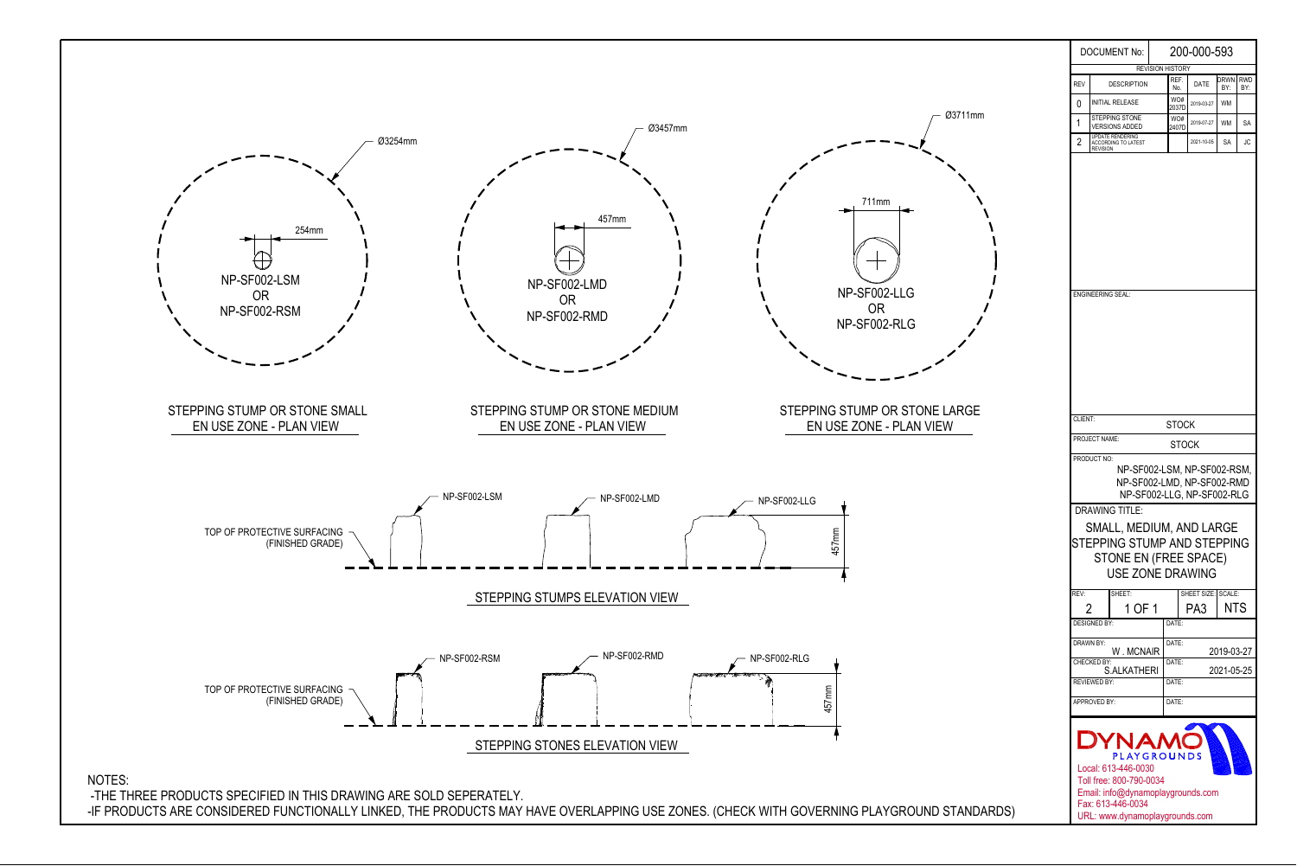

|                                                                                                                               | <b>DOCUMENT No:</b>                                                                                                                                                | 200-000-593  |                              |                                  |            |    |  |  |  |  |  |
|-------------------------------------------------------------------------------------------------------------------------------|--------------------------------------------------------------------------------------------------------------------------------------------------------------------|--------------|------------------------------|----------------------------------|------------|----|--|--|--|--|--|
|                                                                                                                               |                                                                                                                                                                    |              | <b>REVISION HISTORY</b>      |                                  |            |    |  |  |  |  |  |
| <b>REV</b>                                                                                                                    | <b>DESCRIPTION</b>                                                                                                                                                 | REF.<br>No.  | DATE                         | Drwn<br><b>RWD</b><br>BY:<br>BY: |            |    |  |  |  |  |  |
| 0                                                                                                                             | <b>INITIAL RELEASE</b>                                                                                                                                             |              | WO#<br>2037D                 | 2019-03-27                       | <b>WM</b>  |    |  |  |  |  |  |
| 1                                                                                                                             | <b>STEPPING STONE</b><br><b>VERSIONS ADDED</b>                                                                                                                     | WO#<br>2407D | 2019-07-27                   | <b>WM</b>                        | SA         |    |  |  |  |  |  |
| 2                                                                                                                             | <b>UPDATE RENDERING</b><br>ACCORDING TO LATEST<br><b>REVISION</b>                                                                                                  |              |                              | 2021-10-05                       | SA         | JC |  |  |  |  |  |
| <b>ENGINEERING SEAL:</b>                                                                                                      |                                                                                                                                                                    |              |                              |                                  |            |    |  |  |  |  |  |
| CLIENT:                                                                                                                       |                                                                                                                                                                    |              | <b>STOCK</b>                 |                                  |            |    |  |  |  |  |  |
|                                                                                                                               | PROJECT NAME:                                                                                                                                                      |              | STOCK                        |                                  |            |    |  |  |  |  |  |
| PRODUCT NO:<br>NP-SF002-LSM, NP-SF002-RSM,<br>NP-SF002-LMD, NP-SF002-RMD<br>NP-SF002-LLG, NP-SF002-RLG                        |                                                                                                                                                                    |              |                              |                                  |            |    |  |  |  |  |  |
| <b>DRAWING TITLE:</b><br>SMALL, MEDIUM, AND LARGE<br>STEPPING STUMP AND STEPPING<br>STONE EN (FREE SPACE)<br>USE ZONE DRAWING |                                                                                                                                                                    |              |                              |                                  |            |    |  |  |  |  |  |
| REV:<br>2                                                                                                                     | SHEET:<br>1 OF 1<br><b>DESIGNED BY:</b>                                                                                                                            |              | DATE:                        | SHEET SIZE: SCALE:<br>PA3.       | <b>NTS</b> |    |  |  |  |  |  |
| <b>DRAWN BY:</b>                                                                                                              | W. MCNAIR                                                                                                                                                          |              | DATE:<br>2019-03-27          |                                  |            |    |  |  |  |  |  |
| CHECKED BY:<br>S.ALKATHERI<br><b>REVIEWED BY:</b>                                                                             |                                                                                                                                                                    |              | DATE:<br>2021-05-25<br>DATE: |                                  |            |    |  |  |  |  |  |
|                                                                                                                               | APPROVED BY:                                                                                                                                                       |              | DATE:                        |                                  |            |    |  |  |  |  |  |
|                                                                                                                               | DYNAM<br>PLAYGROUNDS<br>Local: 613-446-0030<br>Toll free: 800-790-0034<br>Email: info@dynamoplaygrounds.com<br>Fax: 613-446-0034<br>URL: www.dynamoplaygrounds.com |              |                              |                                  |            |    |  |  |  |  |  |

-IF PRODUCTS ARE CONSIDERED FUNCTIONALLY LINKED, THE PRODUCTS MAY HAVE OVERLAPPING USE ZONES. (CHECK WITH GOVERNING PLAYGROUND STANDARDS)